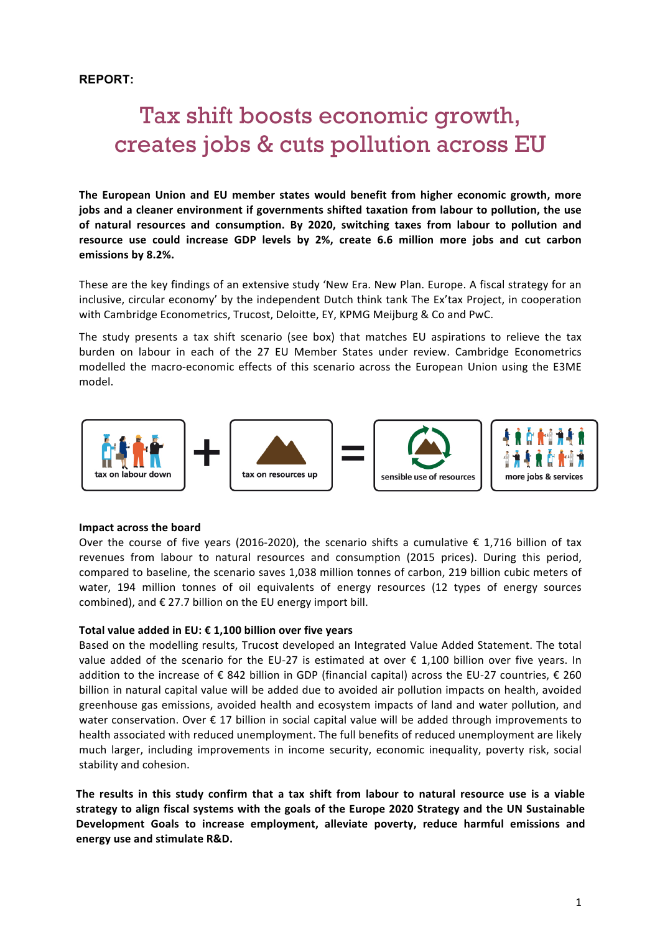# **REPORT:**

# Tax shift boosts economic growth, creates jobs & cuts pollution across EU

The European Union and EU member states would benefit from higher economic growth, more jobs and a cleaner environment if governments shifted taxation from labour to pollution, the use of natural resources and consumption. By 2020, switching taxes from labour to pollution and resource use could increase GDP levels by 2%, create 6.6 million more jobs and cut carbon **emissions by 8.2%.**

These are the key findings of an extensive study 'New Era. New Plan. Europe. A fiscal strategy for an inclusive, circular economy' by the independent Dutch think tank The Ex'tax Project, in cooperation with Cambridge Econometrics, Trucost, Deloitte, EY, KPMG Meijburg & Co and PwC.

The study presents a tax shift scenario (see box) that matches EU aspirations to relieve the tax burden on labour in each of the 27 EU Member States under review. Cambridge Econometrics modelled the macro-economic effects of this scenario across the European Union using the E3ME model. 



# **Impact across the board**

Over the course of five years (2016-2020), the scenario shifts a cumulative  $\epsilon$  1,716 billion of tax revenues from labour to natural resources and consumption (2015 prices). During this period, compared to baseline, the scenario saves 1,038 million tonnes of carbon, 219 billion cubic meters of water, 194 million tonnes of oil equivalents of energy resources (12 types of energy sources combined), and  $\epsilon$  27.7 billion on the EU energy import bill.

# Total value added in EU: € 1,100 billion over five years

Based on the modelling results, Trucost developed an Integrated Value Added Statement. The total value added of the scenario for the EU-27 is estimated at over  $\epsilon$  1,100 billion over five years. In addition to the increase of € 842 billion in GDP (financial capital) across the EU-27 countries, € 260 billion in natural capital value will be added due to avoided air pollution impacts on health, avoided greenhouse gas emissions, avoided health and ecosystem impacts of land and water pollution, and water conservation. Over  $\epsilon$  17 billion in social capital value will be added through improvements to health associated with reduced unemployment. The full benefits of reduced unemployment are likely much larger, including improvements in income security, economic inequality, poverty risk, social stability and cohesion.

The results in this study confirm that a tax shift from labour to natural resource use is a viable strategy to align fiscal systems with the goals of the Europe 2020 Strategy and the UN Sustainable Development Goals to increase employment, alleviate poverty, reduce harmful emissions and **energy use and stimulate R&D.**